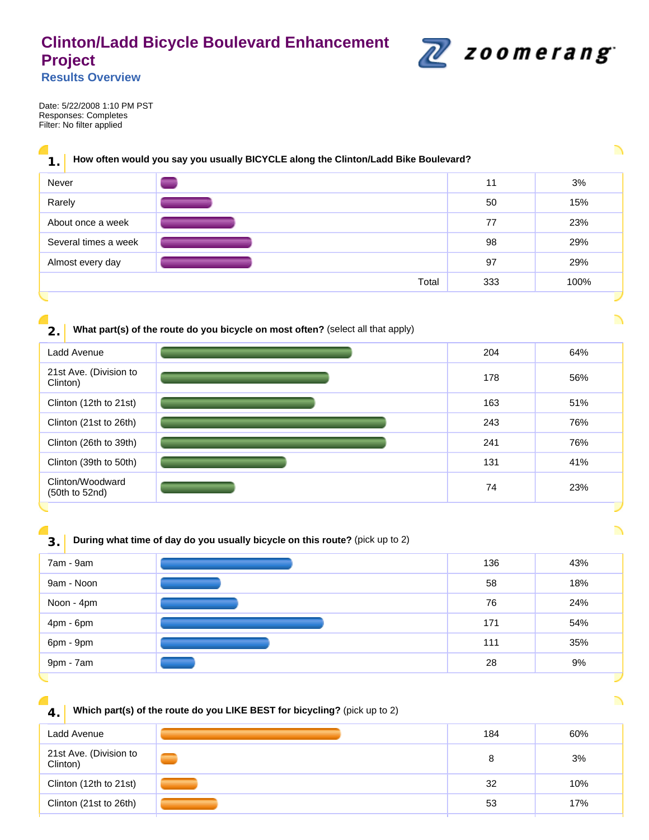# **Clinton/Ladd Bicycle Boulevard Enhancement Project**



**Results Overview** 

Date: 5/22/2008 1:10 PM PST Responses: Completes Filter: No filter applied

# **1. How often would you say you usually BICYCLE along the Clinton/Ladd Bike Boulevard?**

| Never                |       | 11  | 3%   |
|----------------------|-------|-----|------|
| Rarely               |       | 50  | 15%  |
| About once a week    |       | 77  | 23%  |
| Several times a week |       | 98  | 29%  |
| Almost every day     |       | 97  | 29%  |
|                      | Total | 333 | 100% |
|                      |       |     |      |

# **2.** What part(s) of the route do you bicycle on most often? (select all that apply)

| Ladd Avenue                        | 204 | 64% |
|------------------------------------|-----|-----|
| 21st Ave. (Division to<br>Clinton) | 178 | 56% |
| Clinton (12th to 21st)             | 163 | 51% |
| Clinton (21st to 26th)             | 243 | 76% |
| Clinton (26th to 39th)             | 241 | 76% |
| Clinton (39th to 50th)             | 131 | 41% |
| Clinton/Woodward<br>(50th to 52nd) | 74  | 23% |

### **3. During what time of day do you usually bicycle on this route?** (pick up to 2)

| 7am - 9am  | 136 | 43% |
|------------|-----|-----|
| 9am - Noon | 58  | 18% |
| Noon - 4pm | 76  | 24% |
| 4pm - 6pm  | 171 | 54% |
| 6pm - 9pm  | 111 | 35% |
| 9pm - 7am  | 28  | 9%  |
|            |     |     |

╲

#### **4.** Which part(s) of the route do you LIKE BEST for bicycling? (pick up to 2)

| Ladd Avenue                        | 184 | 60% |
|------------------------------------|-----|-----|
| 21st Ave. (Division to<br>Clinton) | 8   | 3%  |
| Clinton (12th to 21st)             | 32  | 10% |
| Clinton (21st to 26th)             | 53  | 17% |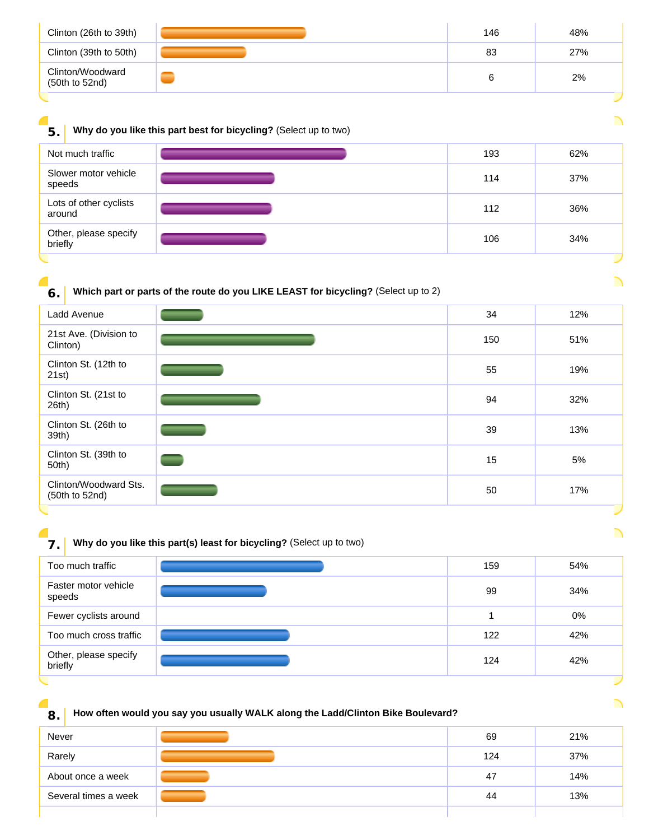| Clinton (26th to 39th)             | 146 | 48% |
|------------------------------------|-----|-----|
| Clinton (39th to 50th)             | 83  | 27% |
| Clinton/Woodward<br>(50th to 52nd) | 6   | 2%  |

### **5.** Why do you like this part best for bicycling? (Select up to two)

C

| Slower motor vehicle<br>114<br>speeds   | 37% |  |
|-----------------------------------------|-----|--|
|                                         |     |  |
| Lots of other cyclists<br>112<br>around | 36% |  |
| Other, please specify<br>106<br>briefly | 34% |  |

**6.** Which part or parts of the route do you LIKE LEAST for bicycling? (Select up to 2)



**7.** Why do you like this part(s) least for bicycling? (Select up to two)

| Too much traffic                 | 159 | 54% |
|----------------------------------|-----|-----|
| Faster motor vehicle<br>speeds   | 99  | 34% |
| Fewer cyclists around            |     | 0%  |
| Too much cross traffic           | 122 | 42% |
| Other, please specify<br>briefly | 124 | 42% |
|                                  |     |     |

# **8. How often would you say you usually WALK along the Ladd/Clinton Bike Boulevard?**

| Never                | 69  | 21% |
|----------------------|-----|-----|
| Rarely               | 124 | 37% |
| About once a week    | 47  | 14% |
| Several times a week | 44  | 13% |
|                      |     |     |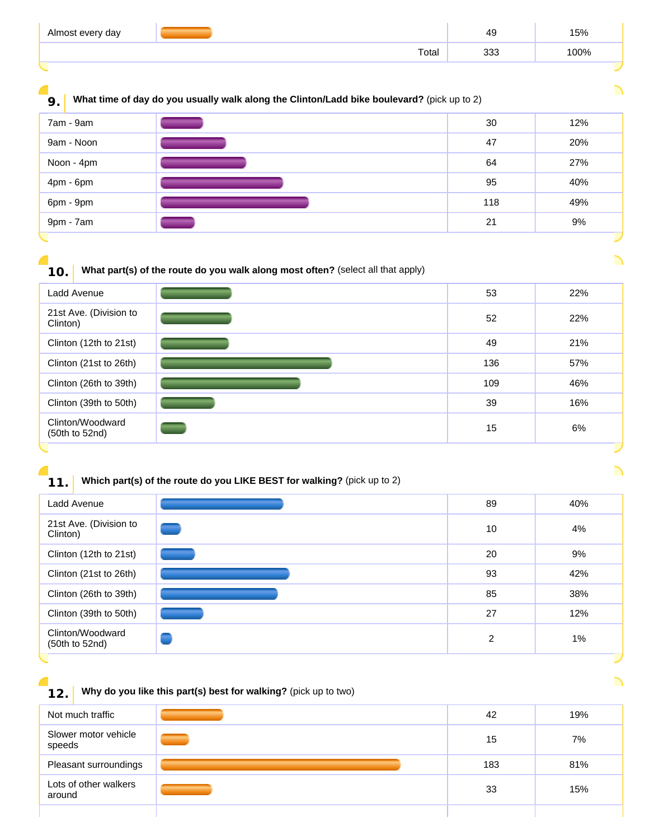| Almost every day |       | 49         | 5%،  |
|------------------|-------|------------|------|
|                  | Total | ר ר<br>uu. | 100% |
|                  |       |            |      |

**9.** What time of day do you usually walk along the Clinton/Ladd bike boulevard? (pick up to 2)

| 7am - 9am  | 30  | 12% |
|------------|-----|-----|
| 9am - Noon | 47  | 20% |
| Noon - 4pm | 64  | 27% |
| 4pm - 6pm  | 95  | 40% |
| 6pm - 9pm  | 118 | 49% |
| 9pm - 7am  | 21  | 9%  |

**10. What part(s) of the route do you walk along most often?** (select all that apply)

| Ladd Avenue                        | 53  | 22% |
|------------------------------------|-----|-----|
| 21st Ave. (Division to<br>Clinton) | 52  | 22% |
| Clinton (12th to 21st)             | 49  | 21% |
| Clinton (21st to 26th)             | 136 | 57% |
| Clinton (26th to 39th)             | 109 | 46% |
| Clinton (39th to 50th)             | 39  | 16% |
| Clinton/Woodward<br>(50th to 52nd) | 15  | 6%  |
|                                    |     |     |

# **11.** Which part(s) of the route do you LIKE BEST for walking? (pick up to 2)

| Ladd Avenue                        | 89 | 40%   |
|------------------------------------|----|-------|
| 21st Ave. (Division to<br>Clinton) | 10 | 4%    |
| Clinton (12th to 21st)             | 20 | 9%    |
| Clinton (21st to 26th)             | 93 | 42%   |
| Clinton (26th to 39th)             | 85 | 38%   |
| Clinton (39th to 50th)             | 27 | 12%   |
| Clinton/Woodward<br>(50th to 52nd) | 2  | $1\%$ |

**12. Why do you like this part(s) best for walking?** (pick up to two)

| Not much traffic                | 42  | 19% |
|---------------------------------|-----|-----|
| Slower motor vehicle<br>speeds  | 15  | 7%  |
| Pleasant surroundings           | 183 | 81% |
| Lots of other walkers<br>around | 33  | 15% |
|                                 |     |     |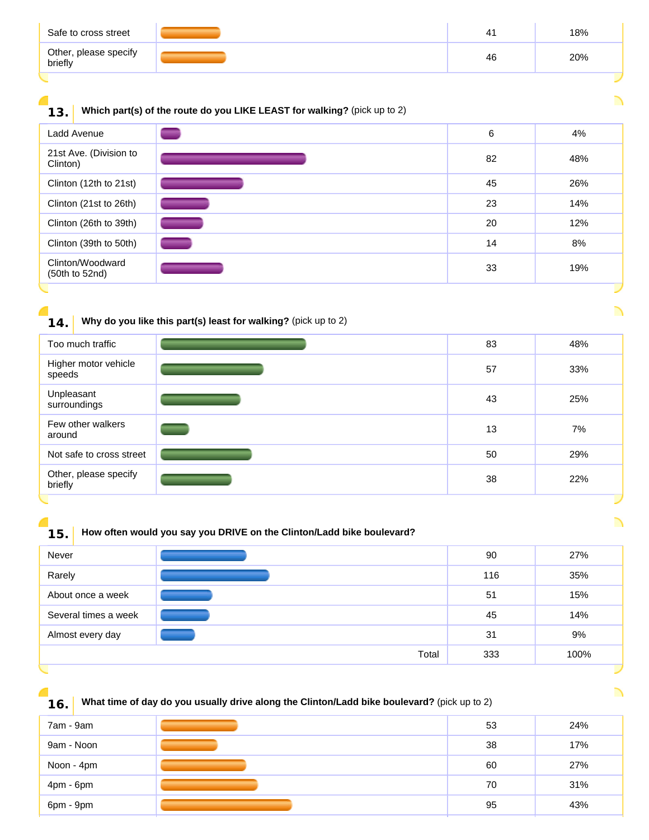| Safe to cross street             | 4  | 18% |
|----------------------------------|----|-----|
| Other, please specify<br>briefly | 46 | 20% |

# **13.** Which part(s) of the route do you LIKE LEAST for walking? (pick up to 2)

| Ladd Avenue                        | 6  | 4%  |
|------------------------------------|----|-----|
| 21st Ave. (Division to<br>Clinton) | 82 | 48% |
| Clinton (12th to 21st)             | 45 | 26% |
| Clinton (21st to 26th)             | 23 | 14% |
| Clinton (26th to 39th)             | 20 | 12% |
| Clinton (39th to 50th)             | 14 | 8%  |
| Clinton/Woodward<br>(50th to 52nd) | 33 | 19% |
|                                    |    |     |

# **14.** Why do you like this part(s) least for walking? (pick up to 2)

| Too much traffic                 | 83 | 48% |
|----------------------------------|----|-----|
| Higher motor vehicle<br>speeds   | 57 | 33% |
| Unpleasant<br>surroundings       | 43 | 25% |
| Few other walkers<br>around      | 13 | 7%  |
| Not safe to cross street         | 50 | 29% |
| Other, please specify<br>briefly | 38 | 22% |

# **15. How often would you say you DRIVE on the Clinton/Ladd bike boulevard?**

| Never                |       | 90  | 27%  |
|----------------------|-------|-----|------|
| Rarely               |       | 116 | 35%  |
| About once a week    |       | 51  | 15%  |
| Several times a week |       | 45  | 14%  |
| Almost every day     |       | 31  | 9%   |
|                      | Total | 333 | 100% |
|                      |       |     |      |

╲

**16.** What time of day do you usually drive along the Clinton/Ladd bike boulevard? (pick up to 2)

| 7am - 9am  | 53 | 24% |
|------------|----|-----|
| 9am - Noon | 38 | 17% |
| Noon - 4pm | 60 | 27% |
| 4pm - 6pm  | 70 | 31% |
| 6pm - 9pm  | 95 | 43% |